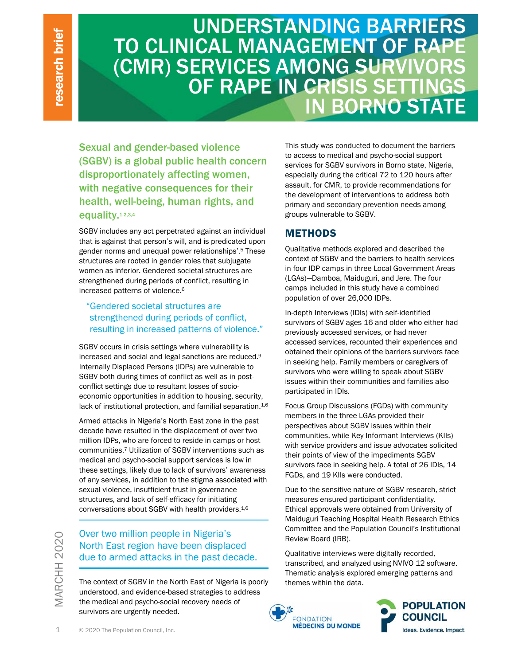# UNDERSTANDING BARRIERS TO CLINICAL MANAGEMENT OF RAPE (CMR) SERVICES AMONG SURVIVORS OF RAPE IN CRISIS SETTINGS IN BORNO STATE

Sexual and gender-based violence (SGBV) is a global public health concern disproportionately affecting women, with negative consequences for their health, well-being, human rights, and equality.<sup>1,2,3,4</sup>

SGBV includes any act perpetrated against an individual that is against that person's will, and is predicated upon gender norms and unequal power relationships'.5 These structures are rooted in gender roles that subjugate women as inferior. Gendered societal structures are strengthened during periods of conflict, resulting in increased patterns of violence.6

#### "Gendered societal structures are strengthened during periods of conflict, resulting in increased patterns of violence."

SGBV occurs in crisis settings where vulnerability is increased and social and legal sanctions are reduced.9 Internally Displaced Persons (IDPs) are vulnerable to SGBV both during times of conflict as well as in postconflict settings due to resultant losses of socioeconomic opportunities in addition to housing, security, lack of institutional protection, and familial separation.<sup>1,6</sup>

1 COM R)<br>
COM R)<br>
Sexual and gender-b:<br>
(GGBV) is a global pu<br>
disproportionately af<br>
with negative consec<br>
health, well-being, ht<br>
equality.<sup>12,34</sup><br>
sGBV includes any act perpet<br>
that is against that person's ventered<br>
st Armed attacks in Nigeria's North East zone in the past decade have resulted in the displacement of over two million IDPs, who are forced to reside in camps or host communities.7 Utilization of SGBV interventions such as medical and psycho-social support services is low in these settings, likely due to lack of survivors' awareness of any services, in addition to the stigma associated with sexual violence, insufficient trust in governance structures, and lack of self-efficacy for initiating conversations about SGBV with health providers.1,6

## Over two million people in Nigeria's North East region have been displaced due to armed attacks in the past decade.

The context of SGBV in the North East of Nigeria is poorly understood, and evidence-based strategies to address the medical and psycho-social recovery needs of survivors are urgently needed.

This study was conducted to document the barriers to access to medical and psycho-social support services for SGBV survivors in Borno state, Nigeria, especially during the critical 72 to 120 hours after assault, for CMR, to provide recommendations for the development of interventions to address both primary and secondary prevention needs among groups vulnerable to SGBV.

## **METHODS**

Qualitative methods explored and described the context of SGBV and the barriers to health services in four IDP camps in three Local Government Areas (LGAs)—Damboa, Maiduguri, and Jere. The four camps included in this study have a combined population of over 26,000 IDPs.

In-depth Interviews (IDIs) with self-identified survivors of SGBV ages 16 and older who either had previously accessed services, or had never accessed services, recounted their experiences and obtained their opinions of the barriers survivors face in seeking help. Family members or caregivers of survivors who were willing to speak about SGBV issues within their communities and families also participated in IDIs.

Focus Group Discussions (FGDs) with community members in the three LGAs provided their perspectives about SGBV issues within their communities, while Key Informant Interviews (KIIs) with service providers and issue advocates solicited their points of view of the impediments SGBV survivors face in seeking help. A total of 26 IDIs, 14 FGDs, and 19 KIIs were conducted.

Due to the sensitive nature of SGBV research, strict measures ensured participant confidentiality. Ethical approvals were obtained from University of Maiduguri Teaching Hospital Health Research Ethics Committee and the Population Council's Institutional Review Board (IRB).

Qualitative interviews were digitally recorded, transcribed, and analyzed using NVIVO 12 software. Thematic analysis explored emerging patterns and themes within the data.